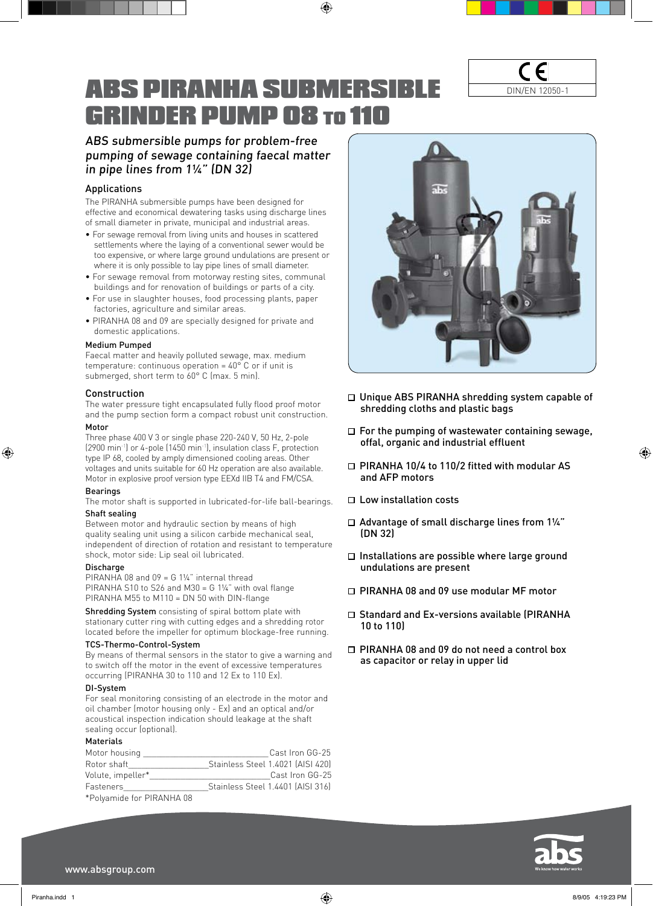# ABS PIRANHA SUBMERSIBLE GRINDER PUMP 08 to 110

 $\bigoplus$ 

C E DIN/EN 12050-1

# ABS submersible pumps for problem-free pumping of sewage containing faecal matter in pipe lines from 1¼" (DN 32)

## Applications

The PIRANHA submersible pumps have been designed for effective and economical dewatering tasks using discharge lines of small diameter in private, municipal and industrial areas.

- For sewage removal from living units and houses in scattered settlements where the laying of a conventional sewer would be too expensive, or where large ground undulations are present or where it is only possible to lay pipe lines of small diameter.
- For sewage removal from motorway resting sites, communal buildings and for renovation of buildings or parts of a city.
- For use in slaughter houses, food processing plants, paper factories, agriculture and similar areas.
- PIRANHA 08 and 09 are specially designed for private and domestic applications.

### Medium Pumped

Faecal matter and heavily polluted sewage, max. medium temperature: continuous operation =  $40^{\circ}$  C or if unit is submerged, short term to 60° C (max. 5 min).

#### Construction

The water pressure tight encapsulated fully flood proof motor and the pump section form a compact robust unit construction. Motor

Three phase 400 V 3 or single phase 220-240 V, 50 Hz, 2-pole (2900 min-1) or 4-pole (1450 min-1), insulation class F, protection type IP 68, cooled by amply dimensioned cooling areas. Other voltages and units suitable for 60 Hz operation are also available.

Motor in explosive proof version type EEXd IIB T4 and FM/CSA. Bearings

The motor shaft is supported in lubricated-for-life ball-bearings.

## Shaft sealing

⊕

Between motor and hydraulic section by means of high quality sealing unit using a silicon carbide mechanical seal, independent of direction of rotation and resistant to temperature shock, motor side: Lip seal oil lubricated.

## Discharge

PIRANHA 08 and 09 = G 11/4" internal thread PIRANHA S10 to S26 and M30 = G 1¼" with oval flange PIRANHA M55 to M110 = DN 50 with DIN-flange

Shredding System consisting of spiral bottom plate with stationary cutter ring with cutting edges and a shredding rotor located before the impeller for optimum blockage-free running.

#### TCS-Thermo-Control-System

By means of thermal sensors in the stator to give a warning and to switch off the motor in the event of excessive temperatures occurring (PIRANHA 30 to 110 and 12 Ex to 110 Ex).

#### DI-System

For seal monitoring consisting of an electrode in the motor and oil chamber (motor housing only - Ex) and an optical and/or acoustical inspection indication should leakage at the shaft sealing occur (optional).

## Materials

| Cast Iron GG-25<br>Stainless Steel 1.4021 [AISI 420]<br>Cast Iron GG-25<br>Stainless Steel 1.4401 [AISI 316] |
|--------------------------------------------------------------------------------------------------------------|

\*Polyamide for PIRANHA 08



- □ Unique ABS PIRANHA shredding system capable of shredding cloths and plastic bags
- $\Box$  For the pumping of wastewater containing sewage, offal, organic and industrial effluent
- □ PIRANHA 10/4 to 110/2 fitted with modular AS and AFP motors
- $\square$  Low installation costs
- $\Box$  Advantage of small discharge lines from 11/4" (DN 32)
- $\Box$  Installations are possible where large ground undulations are present
- □ PIRANHA 08 and 09 use modular MF motor
- □ Standard and Ex-versions available (PIRANHA 10 to 110)
- □ PIRANHA 08 and 09 do not need a control box as capacitor or relay in upper lid



www.absgroup.com

⊕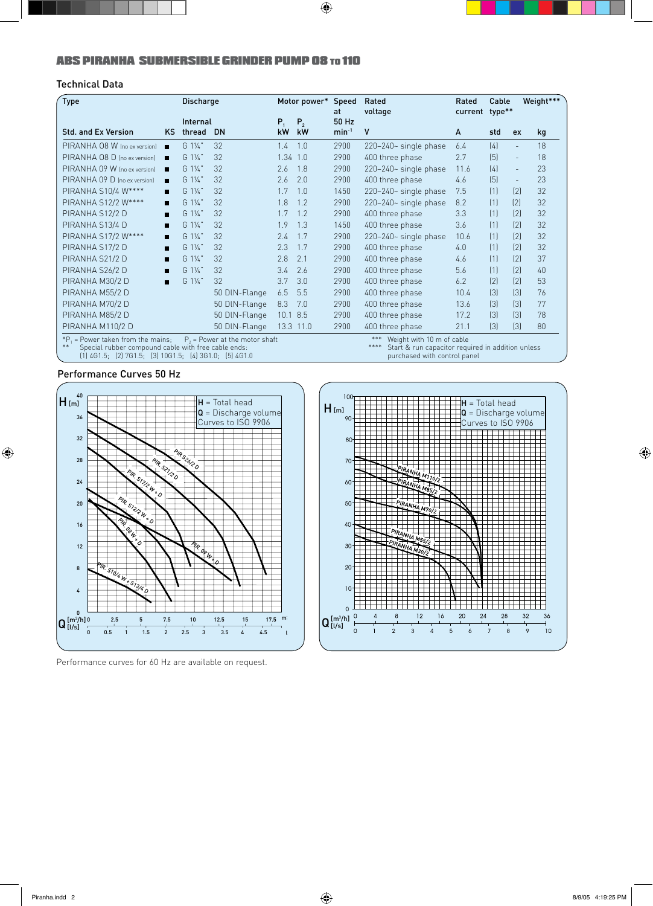# ABS PIRANHA SUBMERSIBLE GRINDER PUMP 08 to 110

# Technical Data

| <b>Type</b>                                                                                                                                                                                                                                                                                                                                  |     | <b>Discharge</b> |               |              | Motor power* | Speed<br>at | Rated<br>voltage        | Rated<br>current type** | Cable            |                  | Weight*** |
|----------------------------------------------------------------------------------------------------------------------------------------------------------------------------------------------------------------------------------------------------------------------------------------------------------------------------------------------|-----|------------------|---------------|--------------|--------------|-------------|-------------------------|-------------------------|------------------|------------------|-----------|
|                                                                                                                                                                                                                                                                                                                                              |     | Internal         |               | $P_{1}$      | $P_{2}$      | 50 Hz       |                         |                         |                  |                  |           |
| <b>Std. and Ex Version</b>                                                                                                                                                                                                                                                                                                                   | KS. | thread           | <b>DN</b>     | kW           | kW           | $min^{-1}$  | ٧                       | A                       | std              | ex               | kg        |
| PIRANHA 08 W (no ex version)                                                                                                                                                                                                                                                                                                                 | П   | G 11/4"          | 32            | 1.4          | 1.0          | 2900        | 220-240~ single phase   | 6.4                     | [4]              | $\equiv$         | 18        |
| PIRANHA 08 D Ino ex versionl                                                                                                                                                                                                                                                                                                                 | п   | G 11/4"          | 32            | $1.34$ $1.0$ |              | 2900        | 400 three phase         | 2.7                     | (5)              | $\equiv$         | 18        |
| PIRANHA 09 W Ino ex version]                                                                                                                                                                                                                                                                                                                 | п   | $G1\frac{1}{4}$  | 32            | 2.6          | 1.8          | 2900        | $220-240-$ single phase | 11.6                    | (4)              | $\equiv$         | 23        |
| PIRANHA 09 D (no ex version)                                                                                                                                                                                                                                                                                                                 | П   | G 11/4"          | 32            | 2.6          | 2.0          | 2900        | 400 three phase         | 4.6                     | (5)              | $\equiv$         | 23        |
| PIRANHA S10/4 W****                                                                                                                                                                                                                                                                                                                          | П   | G 11/4"          | 32            | 1.7          | 1.0          | 1450        | $220-240-$ single phase | 7.5                     | (1)              | [2]              | 32        |
| PIRANHA S12/2 W****                                                                                                                                                                                                                                                                                                                          | П   | G 11/4"          | 32            | 1.8          | 1.2          | 2900        | 220-240~ single phase   | 8.2                     | (1)              | [2]              | 32        |
| PIRANHA S12/2 D                                                                                                                                                                                                                                                                                                                              | П   | G 11/4"          | 32            | 1.7          | 1.2          | 2900        | 400 three phase         | 3.3                     | (1)              | [2]              | 32        |
| PIRANHA S13/4 D                                                                                                                                                                                                                                                                                                                              | п   | G 11/4"          | 32            | 1.9          | 1.3          | 1450        | 400 three phase         | 3.6                     | (1)              | [2]              | 32        |
| PIRANHA S17/2 W****                                                                                                                                                                                                                                                                                                                          | П   | G 11/4"          | 32            | 7.4          | 1.7          | 2900        | $220-240-$ single phase | 10.6                    | (1)              | [2]              | 32        |
| PIRANHA S17/2 D                                                                                                                                                                                                                                                                                                                              | П   | G 11/4"          | 32            | 2.3          | 1.7          | 2900        | 400 three phase         | 4.0                     | (1)              | [2]              | 32        |
| PIRANHA S21/2 D                                                                                                                                                                                                                                                                                                                              | п   | G 11/4"          | 32            | 2.8          | 2.1          | 2900        | 400 three phase         | 4.6                     | (1)              | [2]              | 37        |
| PIRANHA S26/2 D                                                                                                                                                                                                                                                                                                                              | П   | G 11/4"          | 32            | 3.4          | 2.6          | 2900        | 400 three phase         | 5.6                     | (1)              | [2]              | 40        |
| PIRANHA M30/2 D                                                                                                                                                                                                                                                                                                                              | П   | G 11/4"          | 32            | 3.7          | 3.0          | 2900        | 400 three phase         | 6.2                     | [2]              | [2]              | 53        |
| PIRANHA M55/2 D                                                                                                                                                                                                                                                                                                                              |     |                  | 50 DIN-Flange | 6.5          | 5.5          | 2900        | 400 three phase         | 10.4                    | $\left[3\right]$ | $\left[3\right]$ | 76        |
| PIRANHA M70/2 D                                                                                                                                                                                                                                                                                                                              |     |                  | 50 DIN-Flange | 8.3          | 7.0          | 2900        | 400 three phase         | 13.6                    | $\left[3\right]$ | $\left[3\right]$ | 77        |
| PIRANHA M85/2 D                                                                                                                                                                                                                                                                                                                              |     |                  | 50 DIN-Flange | 10.1 8.5     |              | 2900        | 400 three phase         | 17.2                    | $[3]$            | [3]              | 78        |
| PIRANHA M110/2 D                                                                                                                                                                                                                                                                                                                             |     |                  | 50 DIN-Flange |              | 13.3 11.0    | 2900        | 400 three phase         | 21.1                    | $[3]$            | [3]              | 80        |
| ***<br>Weight with 10 m of cable<br>${}^*P_1$ = Power taken from the mains;<br>$P2$ = Power at the motor shaft<br>**<br>****<br>Special rubber compound cable with free cable ends:<br>Start & run capacitor required in addition unless<br>$(1)$ 4G1.5; $(2)$ 7G1.5; $(3)$ 10G1.5; $(4)$ 3G1.0; $(5)$ 4G1.0<br>purchased with control panel |     |                  |               |              |              |             |                         |                         |                  |                  |           |

 $\bigoplus$ 

## Performance Curves 50 Hz

 $\bigoplus$ 



Performance curves for 60 Hz are available on request.



⊕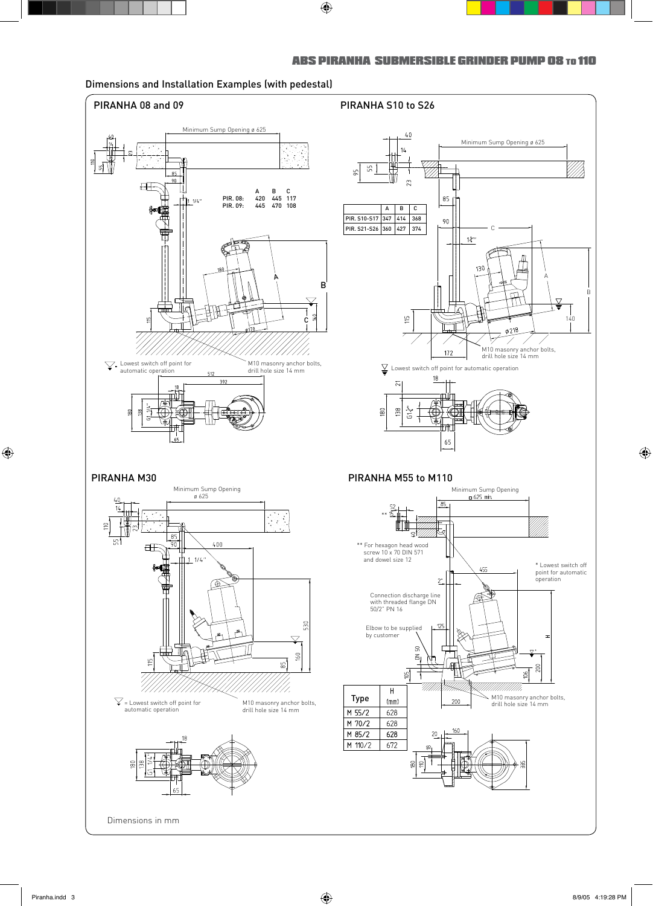

 $\bigoplus$ 

ABS PIRANHA SUBMERSIBLE GRINDER PUMP 08 to 110

# Dimensions and Installation Examples (with pedestal)

 $\bigoplus$ 

 $\bigoplus$